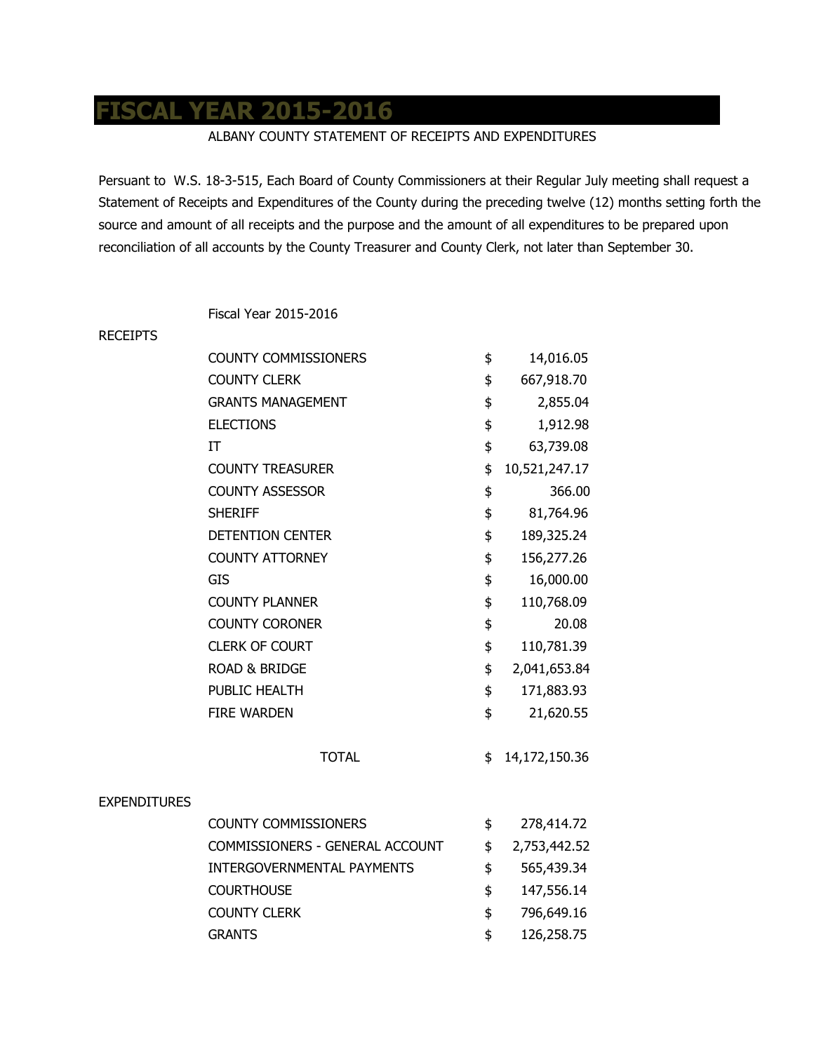## **FISCAL YEAR 2015-2016**

## ALBANY COUNTY STATEMENT OF RECEIPTS AND EXPENDITURES

Persuant to W.S. 18-3-515, Each Board of County Commissioners at their Regular July meeting shall request a Statement of Receipts and Expenditures of the County during the preceding twelve (12) months setting forth the source and amount of all receipts and the purpose and the amount of all expenditures to be prepared upon reconciliation of all accounts by the County Treasurer and County Clerk, not later than September 30.

Fiscal Year 2015-2016

| <b>RECEIPTS</b>     |                                   |                     |
|---------------------|-----------------------------------|---------------------|
|                     | <b>COUNTY COMMISSIONERS</b>       | \$<br>14,016.05     |
|                     | <b>COUNTY CLERK</b>               | \$<br>667,918.70    |
|                     | <b>GRANTS MANAGEMENT</b>          | \$<br>2,855.04      |
|                     | <b>ELECTIONS</b>                  | \$<br>1,912.98      |
|                     | IT                                | \$<br>63,739.08     |
|                     | <b>COUNTY TREASURER</b>           | \$<br>10,521,247.17 |
|                     | <b>COUNTY ASSESSOR</b>            | \$<br>366.00        |
|                     | <b>SHERIFF</b>                    | \$<br>81,764.96     |
|                     | <b>DETENTION CENTER</b>           | \$<br>189,325.24    |
|                     | <b>COUNTY ATTORNEY</b>            | \$<br>156,277.26    |
|                     | <b>GIS</b>                        | \$<br>16,000.00     |
|                     | <b>COUNTY PLANNER</b>             | \$<br>110,768.09    |
|                     | <b>COUNTY CORONER</b>             | \$<br>20.08         |
|                     | <b>CLERK OF COURT</b>             | \$<br>110,781.39    |
|                     | <b>ROAD &amp; BRIDGE</b>          | \$<br>2,041,653.84  |
|                     | PUBLIC HEALTH                     | \$<br>171,883.93    |
|                     | <b>FIRE WARDEN</b>                | \$<br>21,620.55     |
|                     | <b>TOTAL</b>                      | \$<br>14,172,150.36 |
| <b>EXPENDITURES</b> |                                   |                     |
|                     | <b>COUNTY COMMISSIONERS</b>       | \$<br>278,414.72    |
|                     | COMMISSIONERS - GENERAL ACCOUNT   | \$<br>2,753,442.52  |
|                     | <b>INTERGOVERNMENTAL PAYMENTS</b> | \$<br>565,439.34    |
|                     | <b>COURTHOUSE</b>                 | \$<br>147,556.14    |
|                     | <b>COUNTY CLERK</b>               | \$<br>796,649.16    |
|                     | <b>GRANTS</b>                     | \$<br>126,258.75    |